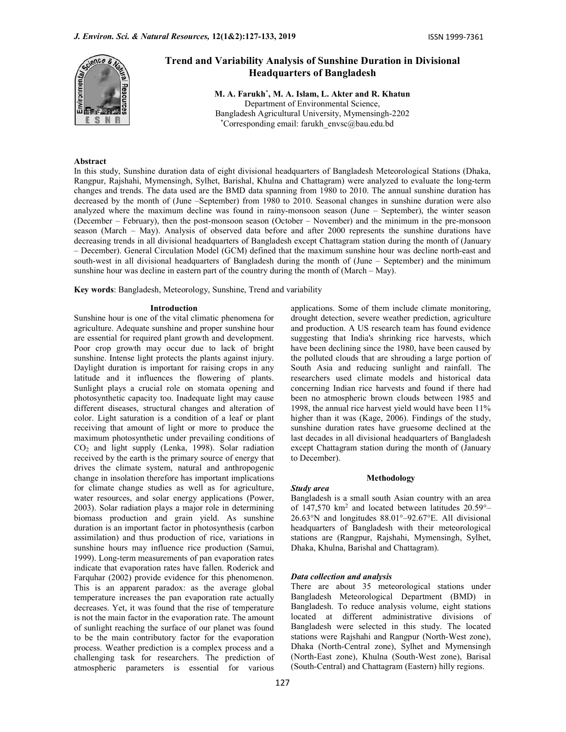

# Trend and Variability Analysis of Sunshine Duration in Divisional Headquarters of Bangladesh

M. A. Farukh\* , M. A. Islam, L. Akter and R. Khatun Department of Environmental Science, Bangladesh Agricultural University, Mymensingh-2202 \*Corresponding email: farukh\_envsc@bau.edu.bd

# Abstract

In this study, Sunshine duration data of eight divisional headquarters of Bangladesh Meteorological Stations (Dhaka, Rangpur, Rajshahi, Mymensingh, Sylhet, Barishal, Khulna and Chattagram) were analyzed to evaluate the long-term changes and trends. The data used are the BMD data spanning from 1980 to 2010. The annual sunshine duration has decreased by the month of (June –September) from 1980 to 2010. Seasonal changes in sunshine duration were also analyzed where the maximum decline was found in rainy-monsoon season (June – September), the winter season (December – February), then the post-monsoon season (October – November) and the minimum in the pre-monsoon season (March – May). Analysis of observed data before and after 2000 represents the sunshine durations have decreasing trends in all divisional headquarters of Bangladesh except Chattagram station during the month of (January – December). General Circulation Model (GCM) defined that the maximum sunshine hour was decline north-east and south-west in all divisional headquarters of Bangladesh during the month of (June – September) and the minimum sunshine hour was decline in eastern part of the country during the month of (March – May).

Key words: Bangladesh, Meteorology, Sunshine, Trend and variability

#### Introduction

Sunshine hour is one of the vital climatic phenomena for agriculture. Adequate sunshine and proper sunshine hour are essential for required plant growth and development. Poor crop growth may occur due to lack of bright sunshine. Intense light protects the plants against injury. Daylight duration is important for raising crops in any latitude and it influences the flowering of plants. Sunlight plays a crucial role on stomata opening and photosynthetic capacity too. Inadequate light may cause different diseases, structural changes and alteration of color. Light saturation is a condition of a leaf or plant receiving that amount of light or more to produce the maximum photosynthetic under prevailing conditions of CO2 and light supply (Lenka, 1998). Solar radiation received by the earth is the primary source of energy that drives the climate system, natural and anthropogenic change in insolation therefore has important implications for climate change studies as well as for agriculture, water resources, and solar energy applications (Power, 2003). Solar radiation plays a major role in determining biomass production and grain yield. As sunshine duration is an important factor in photosynthesis (carbon assimilation) and thus production of rice, variations in sunshine hours may influence rice production (Samui, 1999). Long-term measurements of pan evaporation rates indicate that evaporation rates have fallen. Roderick and Farquhar (2002) provide evidence for this phenomenon. This is an apparent paradox: as the average global temperature increases the pan evaporation rate actually decreases. Yet, it was found that the rise of temperature is not the main factor in the evaporation rate. The amount of sunlight reaching the surface of our planet was found to be the main contributory factor for the evaporation process. Weather prediction is a complex process and a challenging task for researchers. The prediction of atmospheric parameters is essential for various applications. Some of them include climate monitoring, drought detection, severe weather prediction, agriculture and production. A US research team has found evidence suggesting that India's shrinking rice harvests, which have been declining since the 1980, have been caused by the polluted clouds that are shrouding a large portion of South Asia and reducing sunlight and rainfall. The researchers used climate models and historical data concerning Indian rice harvests and found if there had been no atmospheric brown clouds between 1985 and 1998, the annual rice harvest yield would have been 11% higher than it was (Kage, 2006). Findings of the study, sunshine duration rates have gruesome declined at the last decades in all divisional headquarters of Bangladesh except Chattagram station during the month of (January to December).

#### Methodology

#### Study area

Bangladesh is a small south Asian country with an area of 147,570  $km^2$  and located between latitudes 20.59°– 26.63°N and longitudes 88.01°–92.67°E. All divisional headquarters of Bangladesh with their meteorological stations are (Rangpur, Rajshahi, Mymensingh, Sylhet, Dhaka, Khulna, Barishal and Chattagram).

#### Data collection and analysis

There are about 35 meteorological stations under Bangladesh Meteorological Department (BMD) in Bangladesh. To reduce analysis volume, eight stations located at different administrative divisions of Bangladesh were selected in this study. The located stations were Rajshahi and Rangpur (North-West zone), Dhaka (North-Central zone), Sylhet and Mymensingh (North-East zone), Khulna (South-West zone), Barisal (South-Central) and Chattagram (Eastern) hilly regions.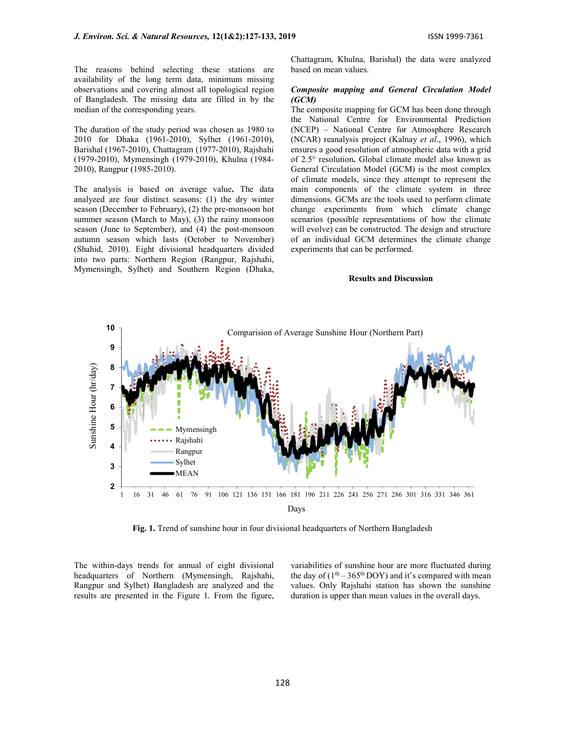The reasons behind selecting these stations are availability of the long term data, minimum missing observations and covering almost all topological region of Bangladesh. The missing data are filled in by the median of the corresponding years.

The duration of the study period was chosen as 1980 to 2010 for Dhaka (1961-2010), Sylhet (1961-2010), Barishal (1967-2010), Chattagram (1977-2010), Rajshahi (1979-2010), Mymensingh (1979-2010), Khulna (1984- 2010), Rangpur (1985-2010).

The analysis is based on average value. The data analyzed are four distinct seasons: (1) the dry winter season (December to February), (2) the pre-monsoon hot summer season (March to May), (3) the rainy monsoon season (June to September), and (4) the post-monsoon autumn season which lasts (October to November) (Shahid, 2010). Eight divisional headquarters divided into two parts: Northern Region (Rangpur, Rajshahi, Mymensingh, Sylhet) and Southern Region (Dhaka, Chattagram, Khulna, Barishal) the data were analyzed based on mean values.

# Composite mapping and General Circulation Model (GCM)

The composite mapping for GCM has been done through the National Centre for Environmental Prediction (NCEP) – National Centre for Atmosphere Research (NCAR) reanalysis project (Kalnay et al., 1996), which ensures a good resolution of atmospheric data with a grid of 2.5° resolution. Global climate model also known as General Circulation Model (GCM) is the most complex of climate models, since they attempt to represent the main components of the climate system in three dimensions. GCMs are the tools used to perform climate change experiments from which climate change scenarios (possible representations of how the climate will evolve) can be constructed. The design and structure of an individual GCM determines the climate change experiments that can be performed.

# Results and Discussion



Fig. 1. Trend of sunshine hour in four divisional headquarters of Northern Bangladesh

The within-days trends for annual of eight divisional headquarters of Northern (Mymensingh, Rajshahi, Rangpur and Sylhet) Bangladesh are analyzed and the results are presented in the Figure 1. From the figure, variabilities of sunshine hour are more fluctuated during the day of  $(1<sup>th</sup> – 365<sup>th</sup> DOY)$  and it's compared with mean values. Only Rajshahi station has shown the sunshine duration is upper than mean values in the overall days.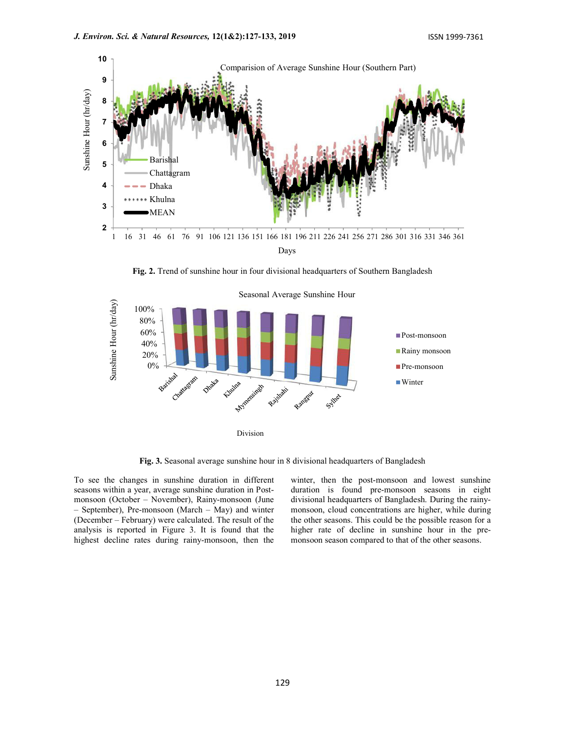

Fig. 2. Trend of sunshine hour in four divisional headquarters of Southern Bangladesh



Fig. 3. Seasonal average sunshine hour in 8 divisional headquarters of Bangladesh

To see the changes in sunshine duration in different seasons within a year, average sunshine duration in Postmonsoon (October – November), Rainy-monsoon (June – September), Pre-monsoon (March – May) and winter (December – February) were calculated. The result of the analysis is reported in Figure 3. It is found that the highest decline rates during rainy-monsoon, then the winter, then the post-monsoon and lowest sunshine duration is found pre-monsoon seasons in eight divisional headquarters of Bangladesh. During the rainymonsoon, cloud concentrations are higher, while during the other seasons. This could be the possible reason for a higher rate of decline in sunshine hour in the premonsoon season compared to that of the other seasons.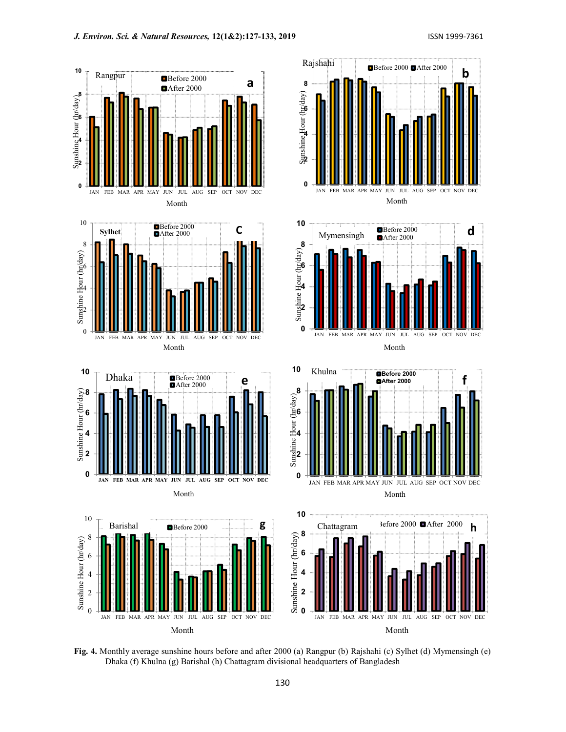b

f



Month

Fig. 4. Monthly average sunshine hours before and after 2000 (a) Rangpur (b) Rajshahi (c) Sylhet (d) Mymensingh (e) Dhaka (f) Khulna (g) Barishal (h) Chattagram divisional headquarters of Bangladesh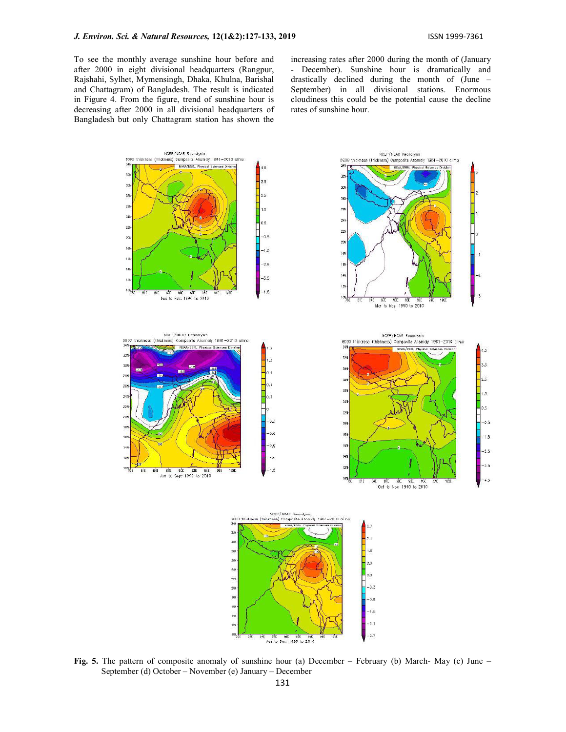To see the monthly average sunshine hour before and after 2000 in eight divisional headquarters (Rangpur, Rajshahi, Sylhet, Mymensingh, Dhaka, Khulna, Barishal and Chattagram) of Bangladesh. The result is indicated in Figure 4. From the figure, trend of sunshine hour is decreasing after 2000 in all divisional headquarters of Bangladesh but only Chattagram station has shown the increasing rates after 2000 during the month of (January - December). Sunshine hour is dramatically and drastically declined during the month of (June – September) in all divisional stations. Enormous cloudiness this could be the potential cause the decline rates of sunshine hour.



Fig. 5. The pattern of composite anomaly of sunshine hour (a) December – February (b) March- May (c) June – September (d) October – November (e) January – December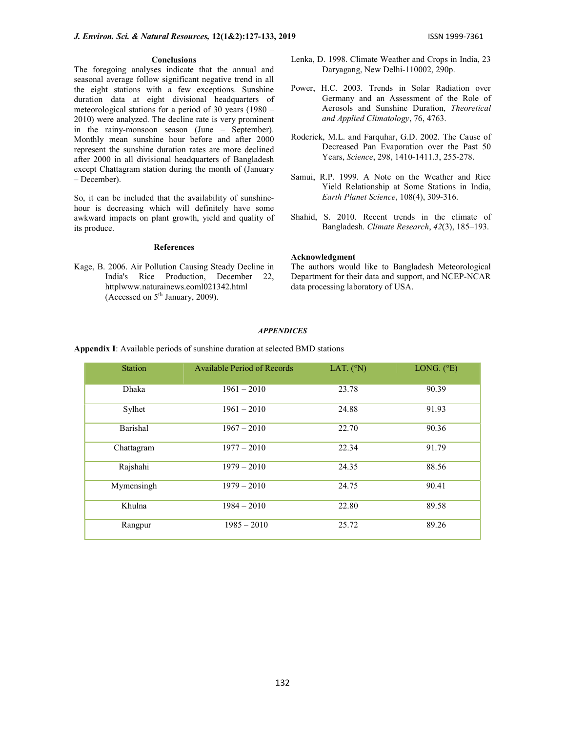### **Conclusions**

The foregoing analyses indicate that the annual and seasonal average follow significant negative trend in all the eight stations with a few exceptions. Sunshine duration data at eight divisional headquarters of meteorological stations for a period of 30 years (1980 – 2010) were analyzed. The decline rate is very prominent in the rainy-monsoon season (June – September). Monthly mean sunshine hour before and after 2000 represent the sunshine duration rates are more declined after 2000 in all divisional headquarters of Bangladesh except Chattagram station during the month of (January – December).

So, it can be included that the availability of sunshinehour is decreasing which will definitely have some awkward impacts on plant growth, yield and quality of its produce.

# References

Kage, B. 2006. Air Pollution Causing Steady Decline in India's Rice Production, December 22, httplwww.naturainews.eoml021342.html (Accessed on 5th January, 2009).

- Lenka, D. 1998. Climate Weather and Crops in India, 23 Daryagang, New Delhi-110002, 290p.
- Power, H.C. 2003. Trends in Solar Radiation over Germany and an Assessment of the Role of Aerosols and Sunshine Duration, Theoretical and Applied Climatology, 76, 4763.
- Roderick, M.L. and Farquhar, G.D. 2002. The Cause of Decreased Pan Evaporation over the Past 50 Years, Science, 298, 1410-1411.3, 255-278.
- Samui, R.P. 1999. A Note on the Weather and Rice Yield Relationship at Some Stations in India, Earth Planet Science, 108(4), 309-316.
- Shahid, S. 2010. Recent trends in the climate of Bangladesh. Climate Research, 42(3), 185–193.

#### Acknowledgment

The authors would like to Bangladesh Meteorological Department for their data and support, and NCEP-NCAR data processing laboratory of USA.

# **APPENDICES**

Station Available Period of Records LAT. (°N) LONG. (°E) Dhaka 1961 – 2010 23.78 90.39 Sylhet 1961 – 2010 24.88 91.93 Barishal 1967 – 2010 22.70 90.36 Chattagram 1977 – 2010 22.34 91.79 Rajshahi 1979 – 2010 24.35 88.56 Mymensingh 1979 – 2010 24.75 90.41 Khulna 1984 – 2010 22.80 89.58 Rangpur 1985 – 2010 25.72 89.26

Appendix I: Available periods of sunshine duration at selected BMD stations